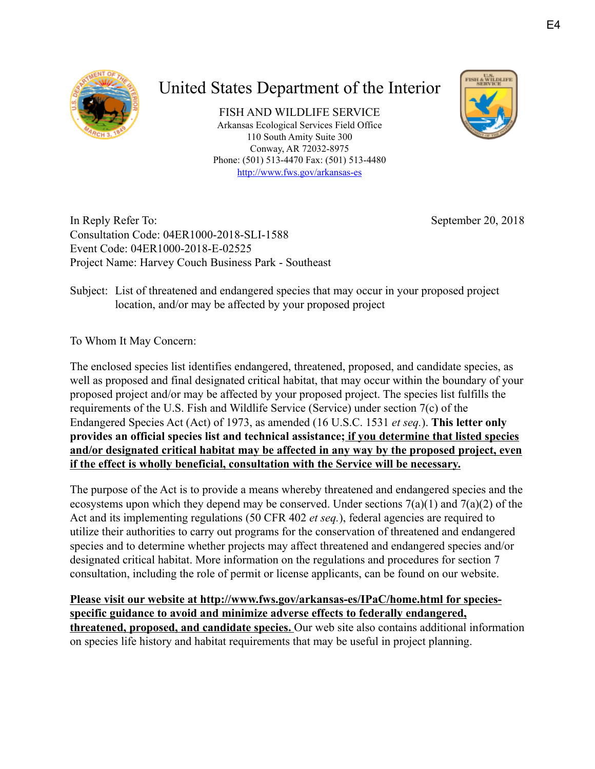

## United States Department of the Interior

FISH AND WILDLIFE SERVICE Arkansas Ecological Services Field Office 110 South Amity Suite 300 Conway, AR 72032-8975 Phone: (501) 513-4470 Fax: (501) 513-4480 <http://www.fws.gov/arkansas-es>



In Reply Refer To: Consultation Code: 04ER1000-2018-SLI-1588 Event Code: 04ER1000-2018-E-02525 Project Name: Harvey Couch Business Park - Southeast September 20, 2018

Subject: List of threatened and endangered species that may occur in your proposed project location, and/or may be affected by your proposed project

To Whom It May Concern:

The enclosed species list identifies endangered, threatened, proposed, and candidate species, as well as proposed and final designated critical habitat, that may occur within the boundary of your proposed project and/or may be affected by your proposed project. The species list fulfills the requirements of the U.S. Fish and Wildlife Service (Service) under section 7(c) of the Endangered Species Act (Act) of 1973, as amended (16 U.S.C. 1531 *et seq.*). **This letter only provides an official species list and technical assistance; if you determine that listed species and/or designated critical habitat may be affected in any way by the proposed project, even if the effect is wholly beneficial, consultation with the Service will be necessary.**

The purpose of the Act is to provide a means whereby threatened and endangered species and the ecosystems upon which they depend may be conserved. Under sections  $7(a)(1)$  and  $7(a)(2)$  of the Act and its implementing regulations (50 CFR 402 *et seq.*), federal agencies are required to utilize their authorities to carry out programs for the conservation of threatened and endangered species and to determine whether projects may affect threatened and endangered species and/or designated critical habitat. More information on the regulations and procedures for section 7 consultation, including the role of permit or license applicants, can be found on our website.

**Please visit our website at http://www.fws.gov/arkansas-es/IPaC/home.html for speciesspecific guidance to avoid and minimize adverse effects to federally endangered, threatened, proposed, and candidate species.** Our web site also contains additional information on species life history and habitat requirements that may be useful in project planning.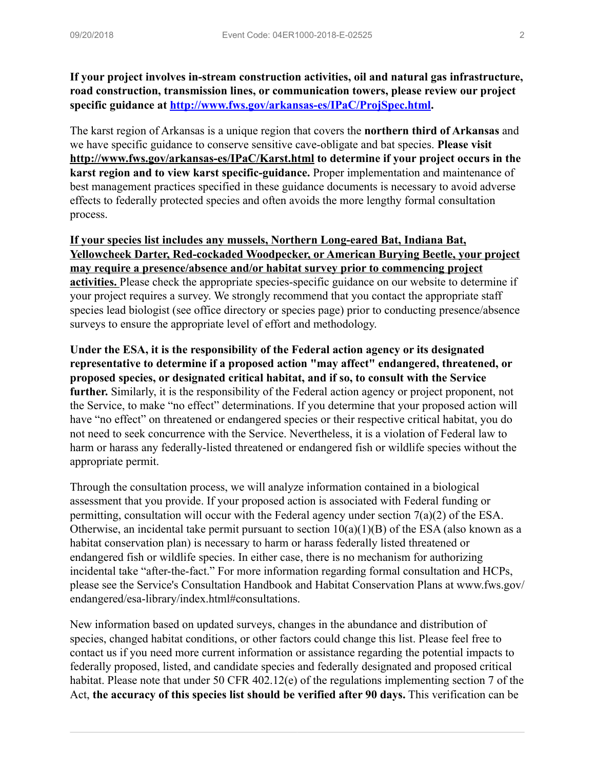**If your project involves in-stream construction activities, oil and natural gas infrastructure, road construction, transmission lines, or communication towers, please review our project specific guidance at [http://www.fws.gov/arkansas-es/IPaC/ProjSpec.html.](http://www.fws.gov/arkansas-es/IPaC/ProjSpec.html)**

The karst region of Arkansas is a unique region that covers the **northern third of Arkansas** and we have specific guidance to conserve sensitive cave-obligate and bat species. **Please visit http://www.fws.gov/arkansas-es/IPaC/Karst.html to determine if your project occurs in the karst region and to view karst specific-guidance.** Proper implementation and maintenance of best management practices specified in these guidance documents is necessary to avoid adverse effects to federally protected species and often avoids the more lengthy formal consultation process.

**If your species list includes any mussels, Northern Long-eared Bat, Indiana Bat, Yellowcheek Darter, Red-cockaded Woodpecker, or American Burying Beetle, your project may require a presence/absence and/or habitat survey prior to commencing project activities.** Please check the appropriate species-specific guidance on our website to determine if your project requires a survey. We strongly recommend that you contact the appropriate staff species lead biologist (see office directory or species page) prior to conducting presence/absence surveys to ensure the appropriate level of effort and methodology.

**Under the ESA, it is the responsibility of the Federal action agency or its designated representative to determine if a proposed action "may affect" endangered, threatened, or proposed species, or designated critical habitat, and if so, to consult with the Service further.** Similarly, it is the responsibility of the Federal action agency or project proponent, not the Service, to make "no effect" determinations. If you determine that your proposed action will have "no effect" on threatened or endangered species or their respective critical habitat, you do not need to seek concurrence with the Service. Nevertheless, it is a violation of Federal law to harm or harass any federally-listed threatened or endangered fish or wildlife species without the appropriate permit.

Through the consultation process, we will analyze information contained in a biological assessment that you provide. If your proposed action is associated with Federal funding or permitting, consultation will occur with the Federal agency under section 7(a)(2) of the ESA. Otherwise, an incidental take permit pursuant to section  $10(a)(1)(B)$  of the ESA (also known as a habitat conservation plan) is necessary to harm or harass federally listed threatened or endangered fish or wildlife species. In either case, there is no mechanism for authorizing incidental take "after-the-fact." For more information regarding formal consultation and HCPs, please see the Service's Consultation Handbook and Habitat Conservation Plans at www.fws.gov/ endangered/esa-library/index.html#consultations.

New information based on updated surveys, changes in the abundance and distribution of species, changed habitat conditions, or other factors could change this list. Please feel free to contact us if you need more current information or assistance regarding the potential impacts to federally proposed, listed, and candidate species and federally designated and proposed critical habitat. Please note that under 50 CFR 402.12(e) of the regulations implementing section 7 of the Act, **the accuracy of this species list should be verified after 90 days.** This verification can be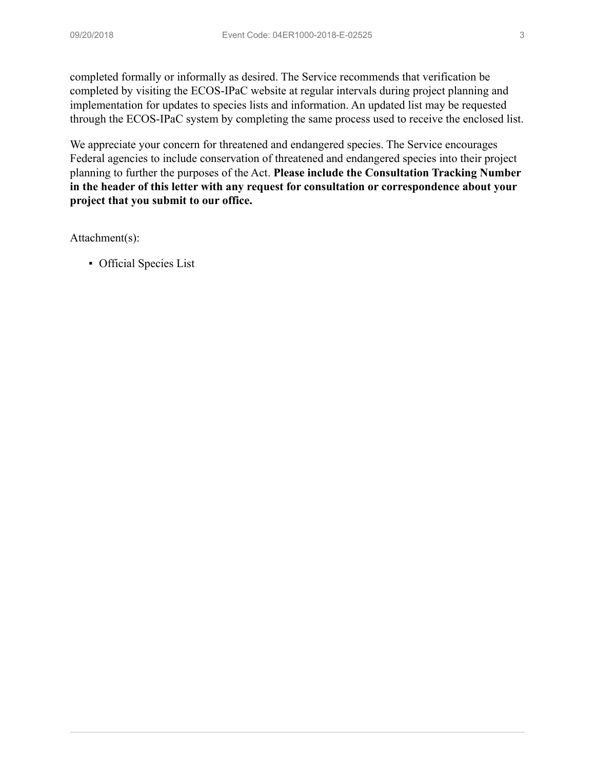completed formally or informally as desired. The Service recommends that verification be completed by visiting the ECOS-IPaC website at regular intervals during project planning and implementation for updates to species lists and information. An updated list may be requested through the ECOS-IPaC system by completing the same process used to receive the enclosed list.

We appreciate your concern for threatened and endangered species. The Service encourages Federal agencies to include conservation of threatened and endangered species into their project planning to further the purposes of the Act. **Please include the Consultation Tracking Number in the header of this letter with any request for consultation or correspondence about your project that you submit to our office.**

Attachment(s):

▪ Official Species List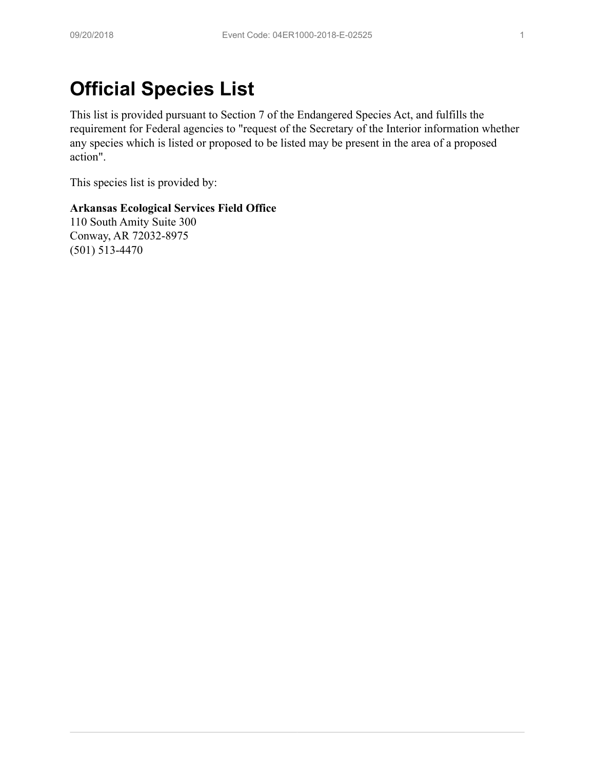# **Official Species List**

This list is provided pursuant to Section 7 of the Endangered Species Act, and fulfills the requirement for Federal agencies to "request of the Secretary of the Interior information whether any species which is listed or proposed to be listed may be present in the area of a proposed action".

This species list is provided by:

#### **Arkansas Ecological Services Field Office**

110 South Amity Suite 300 Conway, AR 72032-8975 (501) 513-4470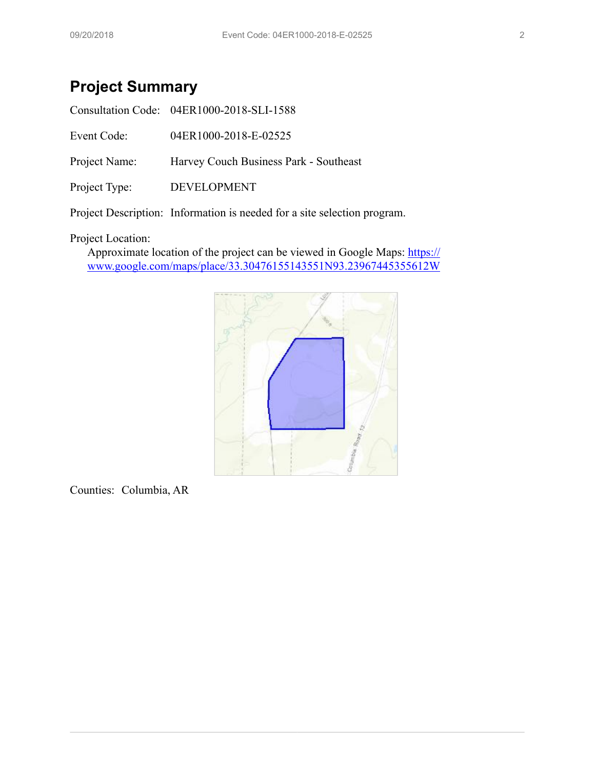## **Project Summary**

|               | Consultation Code: 04ER1000-2018-SLI-1588 |
|---------------|-------------------------------------------|
| Event Code:   | 04ER1000-2018-E-02525                     |
| Project Name: | Harvey Couch Business Park - Southeast    |
| Project Type: | DEVELOPMENT                               |
|               |                                           |

Project Description: Information is needed for a site selection program.

#### Project Location:

Approximate location of the project can be viewed in Google Maps: [https://](https://www.google.com/maps/place/33.30476155143551N93.23967445355612W) [www.google.com/maps/place/33.30476155143551N93.23967445355612W](https://www.google.com/maps/place/33.30476155143551N93.23967445355612W)



Counties: Columbia, AR